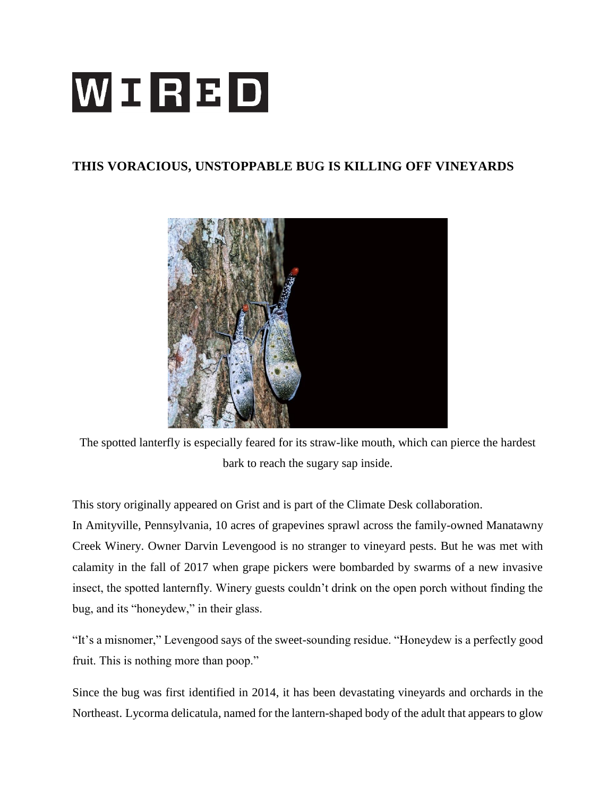## WIRBD

## **THIS VORACIOUS, UNSTOPPABLE BUG IS KILLING OFF VINEYARDS**



The spotted lanterfly is especially feared for its straw-like mouth, which can pierce the hardest bark to reach the sugary sap inside.

This story originally appeared on Grist and is part of the Climate Desk collaboration.

In Amityville, Pennsylvania, 10 acres of grapevines sprawl across the family-owned Manatawny Creek Winery. Owner Darvin Levengood is no stranger to vineyard pests. But he was met with calamity in the fall of 2017 when grape pickers were bombarded by swarms of a new invasive insect, the spotted lanternfly. Winery guests couldn't drink on the open porch without finding the bug, and its "honeydew," in their glass.

"It's a misnomer," Levengood says of the sweet-sounding residue. "Honeydew is a perfectly good fruit. This is nothing more than poop."

Since the bug was first identified in 2014, it has been devastating vineyards and orchards in the Northeast. Lycorma delicatula, named for the lantern-shaped body of the adult that appears to glow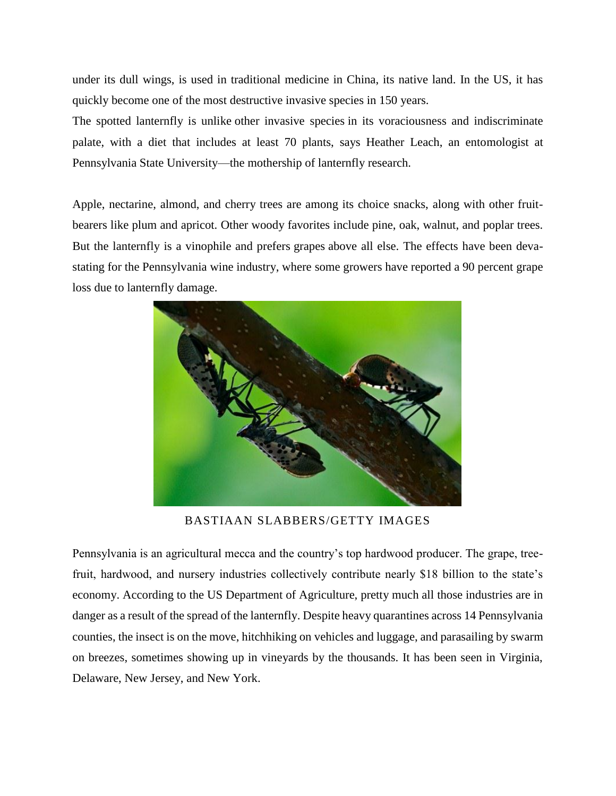under its dull wings, is used in traditional medicine in China, its native land. In the US, it has quickly become one of the most destructive invasive species in 150 years.

The spotted lanternfly is unlike other invasive species in its voraciousness and indiscriminate palate, with a diet that includes at least 70 plants, says Heather Leach, an entomologist at Pennsylvania State University—the mothership of lanternfly research.

Apple, nectarine, almond, and cherry trees are among its choice snacks, along with other fruitbearers like plum and apricot. Other woody favorites include pine, oak, walnut, and poplar trees. But the lanternfly is a vinophile and prefers grapes above all else. The effects have been devastating for the Pennsylvania wine industry, where some growers have reported a 90 percent grape loss due to lanternfly damage.



BASTIAAN SLABBERS/GETTY IMAGES

Pennsylvania is an agricultural mecca and the country's top hardwood producer. The grape, treefruit, hardwood, and nursery industries collectively contribute nearly \$18 billion to the state's economy. According to the US Department of Agriculture, pretty much all those industries are in danger as a result of the spread of the lanternfly. Despite heavy quarantines across 14 Pennsylvania counties, the insect is on the move, hitchhiking on vehicles and luggage, and parasailing by swarm on breezes, sometimes showing up in vineyards by the thousands. It has been seen in Virginia, Delaware, New Jersey, and New York.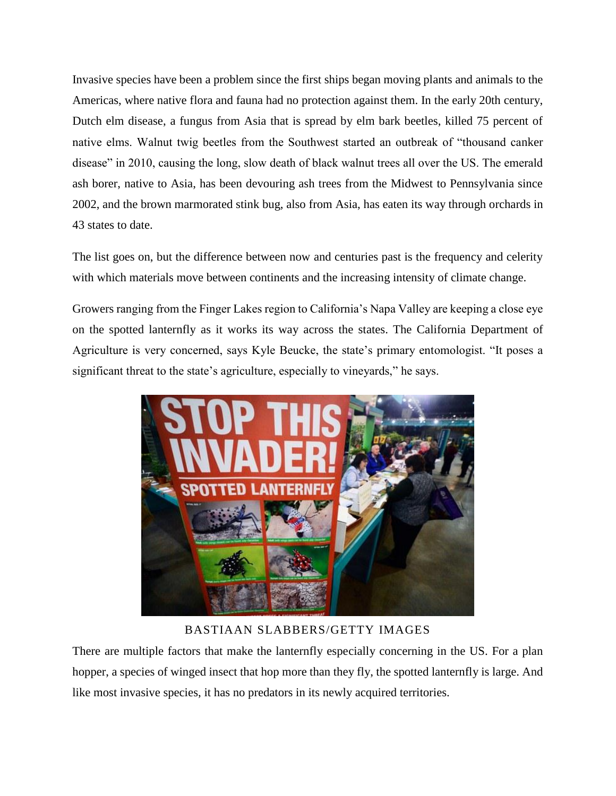Invasive species have been a problem since the first ships began moving plants and animals to the Americas, where native flora and fauna had no protection against them. In the early 20th century, Dutch elm disease, a fungus from Asia that is spread by elm bark beetles, killed 75 percent of native elms. Walnut twig beetles from the Southwest started an outbreak of "thousand canker disease" in 2010, causing the long, slow death of black walnut trees all over the US. The emerald ash borer, native to Asia, has been devouring ash trees from the Midwest to Pennsylvania since 2002, and the brown marmorated stink bug, also from Asia, has eaten its way through orchards in 43 states to date.

The list goes on, but the difference between now and centuries past is the frequency and celerity with which materials move between continents and the increasing intensity of climate change.

Growers ranging from the Finger Lakes region to California's Napa Valley are keeping a close eye on the spotted lanternfly as it works its way across the states. The California Department of Agriculture is very concerned, says Kyle Beucke, the state's primary entomologist. "It poses a significant threat to the state's agriculture, especially to vineyards," he says.



BASTIAAN SLABBERS/GETTY IMAGES

There are multiple factors that make the lanternfly especially concerning in the US. For a plan hopper, a species of winged insect that hop more than they fly, the spotted lanternfly is large. And like most invasive species, it has no predators in its newly acquired territories.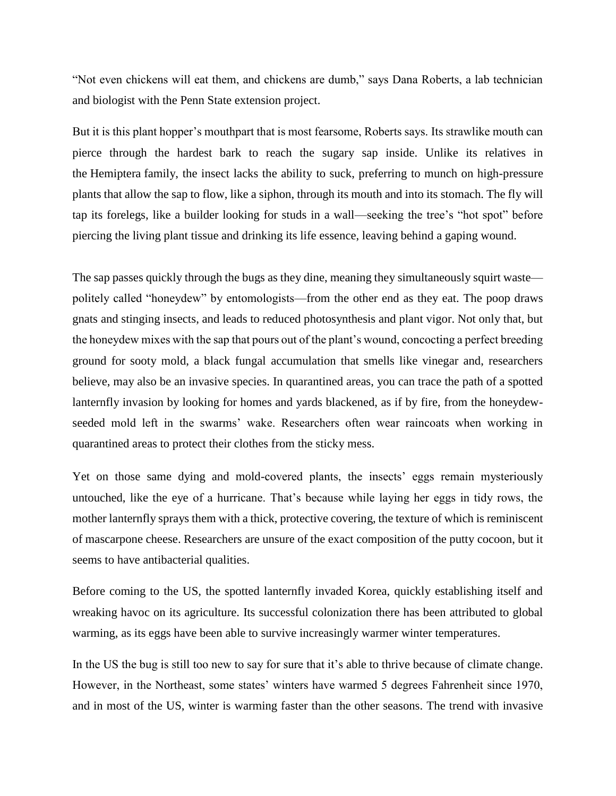"Not even chickens will eat them, and chickens are dumb," says Dana Roberts, a lab technician and biologist with the Penn State extension project.

But it is this plant hopper's mouthpart that is most fearsome, Roberts says. Its strawlike mouth can pierce through the hardest bark to reach the sugary sap inside. Unlike its relatives in the Hemiptera family, the insect lacks the ability to suck, preferring to munch on high-pressure plants that allow the sap to flow, like a siphon, through its mouth and into its stomach. The fly will tap its forelegs, like a builder looking for studs in a wall—seeking the tree's "hot spot" before piercing the living plant tissue and drinking its life essence, leaving behind a gaping wound.

The sap passes quickly through the bugs as they dine, meaning they simultaneously squirt waste politely called "honeydew" by entomologists—from the other end as they eat. The poop draws gnats and stinging insects, and leads to reduced photosynthesis and plant vigor. Not only that, but the honeydew mixes with the sap that pours out of the plant's wound, concocting a perfect breeding ground for sooty mold, a black fungal accumulation that smells like vinegar and, researchers believe, may also be an invasive species. In quarantined areas, you can trace the path of a spotted lanternfly invasion by looking for homes and yards blackened, as if by fire, from the honeydewseeded mold left in the swarms' wake. Researchers often wear raincoats when working in quarantined areas to protect their clothes from the sticky mess.

Yet on those same dying and mold-covered plants, the insects' eggs remain mysteriously untouched, like the eye of a hurricane. That's because while laying her eggs in tidy rows, the mother lanternfly sprays them with a thick, protective covering, the texture of which is reminiscent of mascarpone cheese. Researchers are unsure of the exact composition of the putty cocoon, but it seems to have antibacterial qualities.

Before coming to the US, the spotted lanternfly invaded Korea, quickly establishing itself and wreaking havoc on its agriculture. Its successful colonization there has been attributed to global warming, as its eggs have been able to survive increasingly warmer winter temperatures.

In the US the bug is still too new to say for sure that it's able to thrive because of climate change. However, in the Northeast, some states' winters have warmed 5 degrees Fahrenheit since 1970, and in most of the US, winter is warming faster than the other seasons. The trend with invasive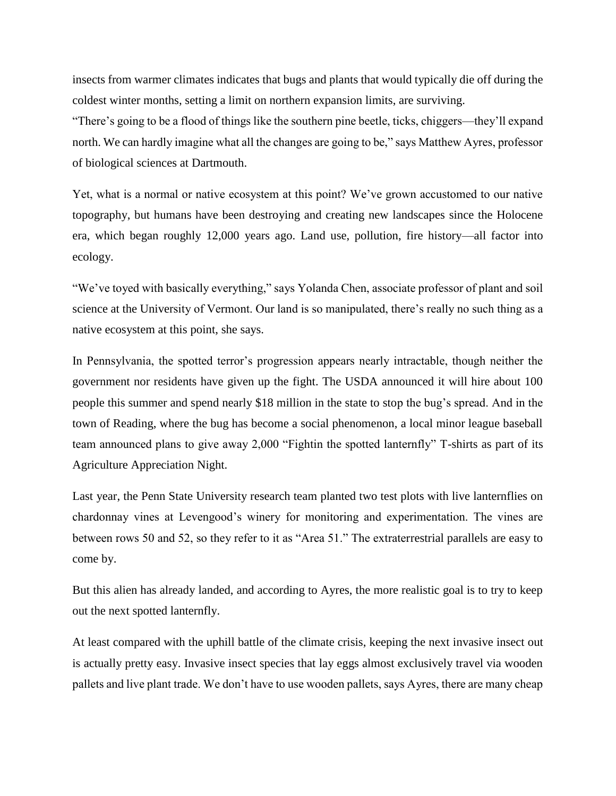insects from warmer climates indicates that bugs and plants that would typically die off during the coldest winter months, setting a limit on northern expansion limits, are surviving.

"There's going to be a flood of things like the southern pine beetle, ticks, chiggers—they'll expand north. We can hardly imagine what all the changes are going to be," says Matthew Ayres, professor of biological sciences at Dartmouth.

Yet, what is a normal or native ecosystem at this point? We've grown accustomed to our native topography, but humans have been destroying and creating new landscapes since the Holocene era, which began roughly 12,000 years ago. Land use, pollution, fire history—all factor into ecology.

"We've toyed with basically everything," says Yolanda Chen, associate professor of plant and soil science at the University of Vermont. Our land is so manipulated, there's really no such thing as a native ecosystem at this point, she says.

In Pennsylvania, the spotted terror's progression appears nearly intractable, though neither the government nor residents have given up the fight. The USDA announced it will hire about 100 people this summer and spend nearly \$18 million in the state to stop the bug's spread. And in the town of Reading, where the bug has become a social phenomenon, a local minor league baseball team announced plans to give away 2,000 "Fightin the spotted lanternfly" T-shirts as part of its Agriculture Appreciation Night.

Last year, the Penn State University research team planted two test plots with live lanternflies on chardonnay vines at Levengood's winery for monitoring and experimentation. The vines are between rows 50 and 52, so they refer to it as "Area 51." The extraterrestrial parallels are easy to come by.

But this alien has already landed, and according to Ayres, the more realistic goal is to try to keep out the next spotted lanternfly.

At least compared with the uphill battle of the climate crisis, keeping the next invasive insect out is actually pretty easy. Invasive insect species that lay eggs almost exclusively travel via wooden pallets and live plant trade. We don't have to use wooden pallets, says Ayres, there are many cheap